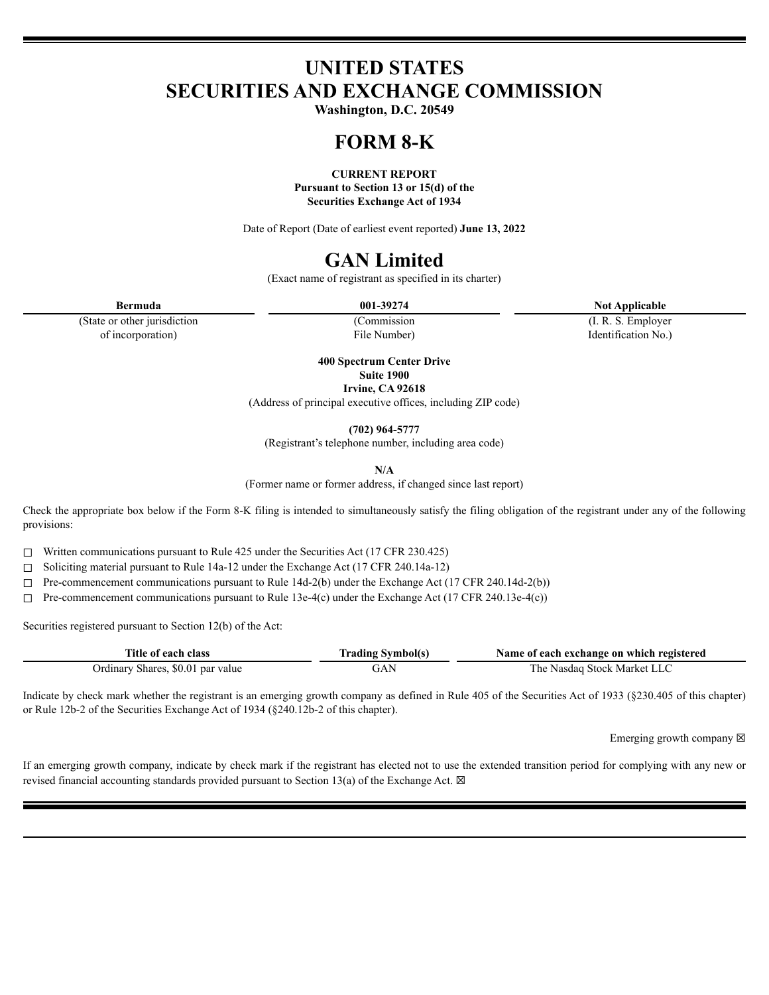# **UNITED STATES SECURITIES AND EXCHANGE COMMISSION**

**Washington, D.C. 20549**

# **FORM 8-K**

**CURRENT REPORT Pursuant to Section 13 or 15(d) of the Securities Exchange Act of 1934**

Date of Report (Date of earliest event reported) **June 13, 2022**

# **GAN Limited**

(Exact name of registrant as specified in its charter)

**Bermuda 001-39274 Not Applicable**

(State or other jurisdiction of incorporation)

(Commission File Number)

(I. R. S. Employer Identification No.)

**400 Spectrum Center Drive Suite 1900 Irvine, CA 92618**

(Address of principal executive offices, including ZIP code)

**(702) 964-5777**

(Registrant's telephone number, including area code)

**N/A**

(Former name or former address, if changed since last report)

Check the appropriate box below if the Form 8-K filing is intended to simultaneously satisfy the filing obligation of the registrant under any of the following provisions:

☐ Written communications pursuant to Rule 425 under the Securities Act (17 CFR 230.425)

☐ Soliciting material pursuant to Rule 14a-12 under the Exchange Act (17 CFR 240.14a-12)

☐ Pre-commencement communications pursuant to Rule 14d-2(b) under the Exchange Act (17 CFR 240.14d-2(b))

☐ Pre-commencement communications pursuant to Rule 13e-4(c) under the Exchange Act (17 CFR 240.13e-4(c))

Securities registered pursuant to Section 12(b) of the Act:

| Title of each class               | <b>Trading Symbol(s)</b> | Name of each exchange on which registered |
|-----------------------------------|--------------------------|-------------------------------------------|
| Ordinary Shares, \$0.01 par value | <b>JAN</b>               | The Nasdaq Stock Market LLC               |

Indicate by check mark whether the registrant is an emerging growth company as defined in Rule 405 of the Securities Act of 1933 (§230.405 of this chapter) or Rule 12b-2 of the Securities Exchange Act of 1934 (§240.12b-2 of this chapter).

Emerging growth company  $\boxtimes$ 

If an emerging growth company, indicate by check mark if the registrant has elected not to use the extended transition period for complying with any new or revised financial accounting standards provided pursuant to Section 13(a) of the Exchange Act.  $\boxtimes$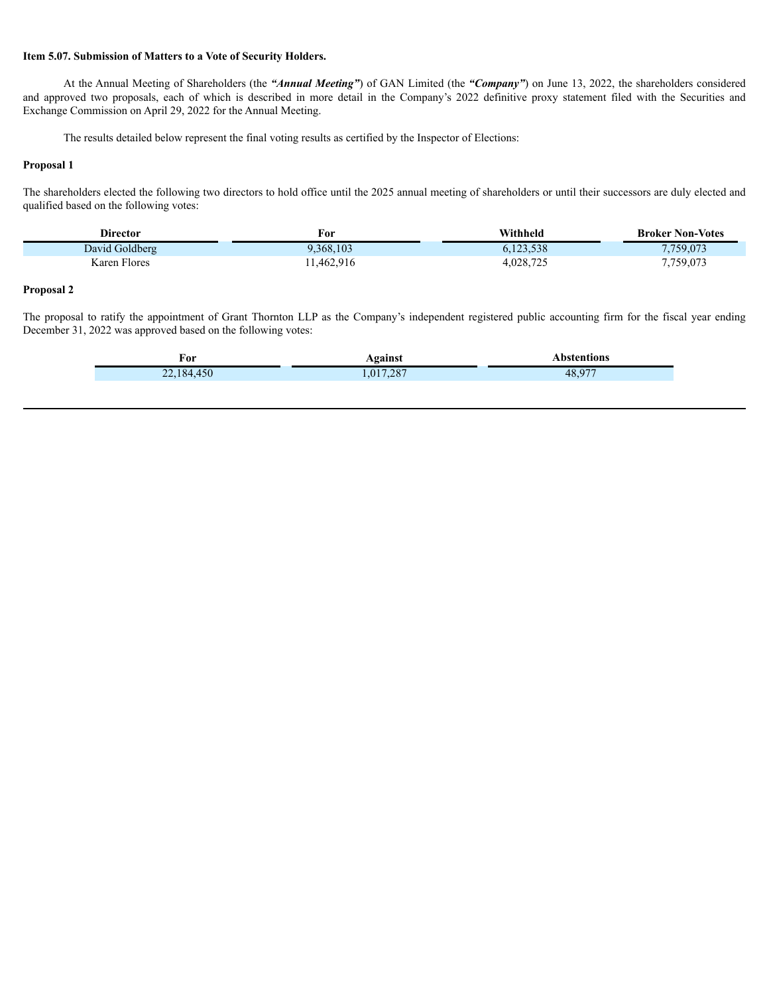#### **Item 5.07. Submission of Matters to a Vote of Security Holders.**

At the Annual Meeting of Shareholders (the *"Annual Meeting"*) of GAN Limited (the *"Company"*) on June 13, 2022, the shareholders considered and approved two proposals, each of which is described in more detail in the Company's 2022 definitive proxy statement filed with the Securities and Exchange Commission on April 29, 2022 for the Annual Meeting.

The results detailed below represent the final voting results as certified by the Inspector of Elections:

#### **Proposal 1**

The shareholders elected the following two directors to hold office until the 2025 annual meeting of shareholders or until their successors are duly elected and qualified based on the following votes:

| <b>Director</b>                | For       | Withheld  | <b>Broker Non-Votes</b> |
|--------------------------------|-----------|-----------|-------------------------|
| David Goldberg                 | .368,103  | 5.123.538 | 7,759,073               |
| T <sub>1</sub><br>Karen Flores | 1,462,916 | 4,028,725 | 7,759,073               |

### **Proposal 2**

The proposal to ratify the appointment of Grant Thornton LLP as the Company's independent registered public accounting firm for the fiscal year ending December 31, 2022 was approved based on the following votes:

| . о.<br>$ -$ | ___ |  |
|--------------|-----|--|
| . .          |     |  |
|              |     |  |